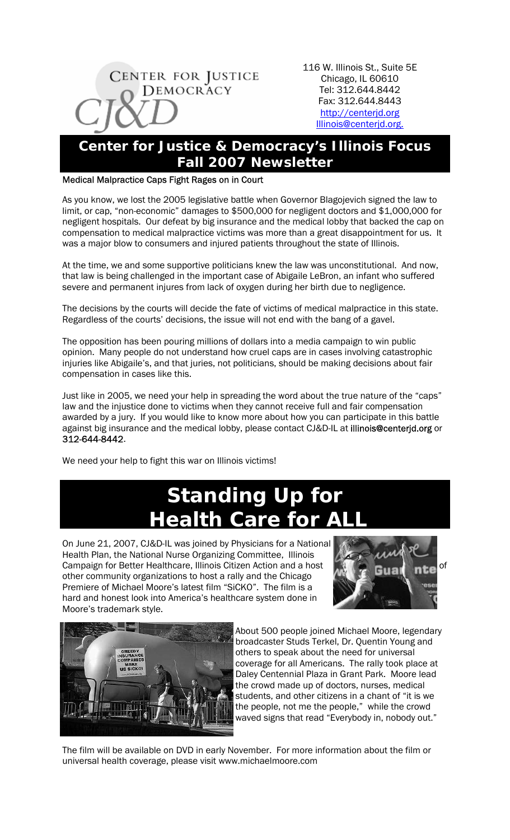

116 W. Illinois St., Suite 5E Chicago, IL 60610 Tel: 312.644.8442 Fax: 312.644.8443 http://centerjd.org Illinois@centerjd.org.

## **Center for Justice & Democracy's Illinois Focus Fall 2007 Newsletter**

## Medical Malpractice Caps Fight Rages on in Court

As you know, we lost the 2005 legislative battle when Governor Blagojevich signed the law to limit, or cap, "non-economic" damages to \$500,000 for negligent doctors and \$1,000,000 for negligent hospitals. Our defeat by big insurance and the medical lobby that backed the cap on compensation to medical malpractice victims was more than a great disappointment for us. It was a major blow to consumers and injured patients throughout the state of Illinois.

At the time, we and some supportive politicians knew the law was unconstitutional. And now, that law is being challenged in the important case of Abigaile LeBron, an infant who suffered severe and permanent injures from lack of oxygen during her birth due to negligence.

The decisions by the courts will decide the fate of victims of medical malpractice in this state. Regardless of the courts' decisions, the issue will not end with the bang of a gavel.

The opposition has been pouring millions of dollars into a media campaign to win public opinion. Many people do not understand how cruel caps are in cases involving catastrophic injuries like Abigaile's, and that juries, not politicians, should be making decisions about fair compensation in cases like this.

Just like in 2005, we need your help in spreading the word about the true nature of the "caps" law and the injustice done to victims when they cannot receive full and fair compensation awarded by a jury. If you would like to know more about how you can participate in this battle against big insurance and the medical lobby, please contact CJ&D-IL at illinois@centerjd.org or 312-644-8442.

We need your help to fight this war on Illinois victims!

ı

## **Standing Up for Health Care for ALL**

On June 21, 2007, CJ&D-IL was joined by Physicians for a National Health Plan, the National Nurse Organizing Committee, Illinois Campaign for Better Healthcare, Illinois Citizen Action and a host **of the state of the state** of other community organizations to host a rally and the Chicago Premiere of Michael Moore's latest film "SiCKO". The film is a hard and honest look into America's healthcare system done in Moore's trademark style.





About 500 people joined Michael Moore, legendary broadcaster Studs Terkel, Dr. Quentin Young and others to speak about the need for universal coverage for all Americans. The rally took place at Daley Centennial Plaza in Grant Park. Moore lead the crowd made up of doctors, nurses, medical students, and other citizens in a chant of "it is we the people, not me the people," while the crowd waved signs that read "Everybody in, nobody out."

The film will be available on DVD in early November. For more information about the film or universal health coverage, please visit www.michaelmoore.com